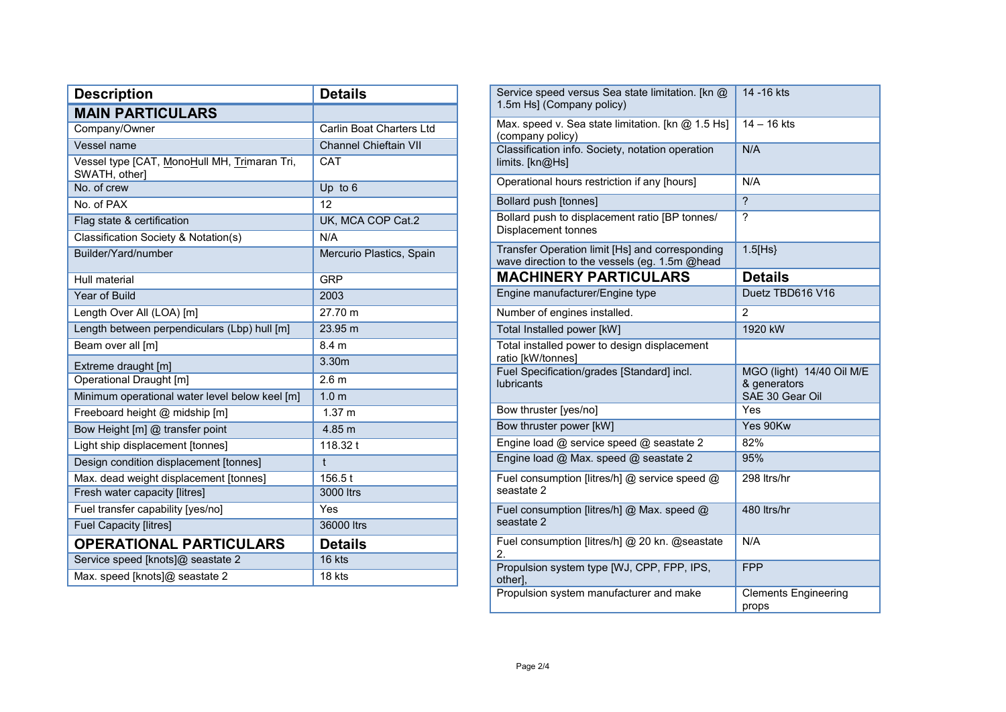| <b>Description</b>                                            | <b>Details</b>               |
|---------------------------------------------------------------|------------------------------|
| <b>MAIN PARTICULARS</b>                                       |                              |
| Company/Owner                                                 | Carlin Boat Charters Ltd     |
| Vessel name                                                   | <b>Channel Chieftain VII</b> |
| Vessel type [CAT, MonoHull MH, Trimaran Tri,<br>SWATH, other] | CAT                          |
| No. of crew                                                   | Up to $6$                    |
| No. of PAX                                                    | 12                           |
| Flag state & certification                                    | UK, MCA COP Cat.2            |
| Classification Society & Notation(s)                          | N/A                          |
| Builder/Yard/number                                           | Mercurio Plastics, Spain     |
| Hull material                                                 | <b>GRP</b>                   |
| <b>Year of Build</b>                                          | 2003                         |
| Length Over All (LOA) [m]                                     | 27.70 m                      |
| Length between perpendiculars (Lbp) hull [m]                  | 23.95 m                      |
| Beam over all [m]                                             | 8.4 m                        |
| Extreme draught [m]                                           | 3.30m                        |
| Operational Draught [m]                                       | 2.6 <sub>m</sub>             |
| Minimum operational water level below keel [m]                | 1.0 <sub>m</sub>             |
| Freeboard height @ midship [m]                                | 1.37 <sub>m</sub>            |
| Bow Height [m] @ transfer point                               | 4.85 m                       |
| Light ship displacement [tonnes]                              | 118.32 t                     |
| Design condition displacement [tonnes]                        | $\mathbf{t}$                 |
| Max. dead weight displacement [tonnes]                        | 156.5 t                      |
| Fresh water capacity [litres]                                 | 3000 ltrs                    |
| Fuel transfer capability [yes/no]                             | Yes                          |
| <b>Fuel Capacity [litres]</b>                                 | 36000 ltrs                   |
| <b>OPERATIONAL PARTICULARS</b>                                | <b>Details</b>               |
| Service speed [knots]@ seastate 2                             | 16 kts                       |
| Max. speed [knots]@ seastate 2                                | 18 kts                       |

| Service speed versus Sea state limitation. [kn @<br>1.5m Hs] (Company policy)                    | 14 - 16 kts                                                  |
|--------------------------------------------------------------------------------------------------|--------------------------------------------------------------|
| Max. speed v. Sea state limitation. [kn @ 1.5 Hs]<br>(company policy)                            | $14 - 16$ kts                                                |
| Classification info. Society, notation operation<br>limits. [kn@Hs]                              | N/A                                                          |
| Operational hours restriction if any [hours]                                                     | N/A                                                          |
| Bollard push [tonnes]                                                                            | $\overline{2}$                                               |
| Bollard push to displacement ratio [BP tonnes/<br>Displacement tonnes                            | ?                                                            |
| Transfer Operation limit [Hs] and corresponding<br>wave direction to the vessels (eg. 1.5m @head | $1.5$ [Hs $\}$                                               |
| <b>MACHINERY PARTICULARS</b>                                                                     | <b>Details</b>                                               |
| Engine manufacturer/Engine type                                                                  | Duetz TBD616 V16                                             |
| Number of engines installed.                                                                     | $\overline{2}$                                               |
| Total Installed power [kW]                                                                       | 1920 kW                                                      |
| Total installed power to design displacement<br>ratio [kW/tonnes]                                |                                                              |
| Fuel Specification/grades [Standard] incl.<br><b>lubricants</b>                                  | MGO (light) 14/40 Oil M/E<br>& generators<br>SAE 30 Gear Oil |
| Bow thruster [yes/no]                                                                            | Yes                                                          |
| Bow thruster power [kW]                                                                          | Yes 90Kw                                                     |
| Engine load @ service speed @ seastate 2                                                         | 82%                                                          |
| Engine load @ Max. speed @ seastate 2                                                            | 95%                                                          |
| Fuel consumption [litres/h] @ service speed @<br>seastate 2                                      | 298 ltrs/hr                                                  |
| Fuel consumption [litres/h] @ Max. speed @<br>seastate 2                                         | 480 Itrs/hr                                                  |
| Fuel consumption [litres/h] @ 20 kn. @seastate<br>2.                                             | N/A                                                          |
| Propulsion system type [WJ, CPP, FPP, IPS,<br>other],                                            | <b>FPP</b>                                                   |
| Propulsion system manufacturer and make                                                          | <b>Clements Engineering</b><br>props                         |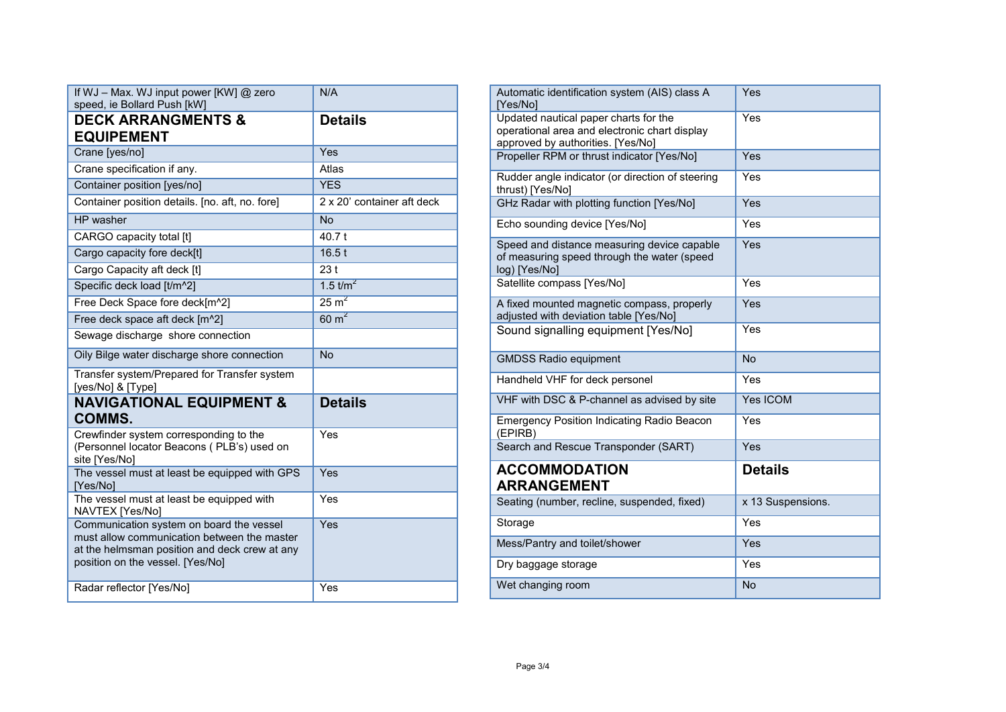| If WJ - Max. WJ input power [KW] @ zero<br>speed, ie Bollard Push [kW]                                                                                                       | N/A                        |
|------------------------------------------------------------------------------------------------------------------------------------------------------------------------------|----------------------------|
| <b>DECK ARRANGMENTS &amp;</b><br><b>EQUIPEMENT</b>                                                                                                                           | <b>Details</b>             |
| Crane [yes/no]                                                                                                                                                               | Yes                        |
| Crane specification if any.                                                                                                                                                  | Atlas                      |
| Container position [yes/no]                                                                                                                                                  | <b>YFS</b>                 |
| Container position details. [no. aft, no. fore]                                                                                                                              | 2 x 20' container aft deck |
|                                                                                                                                                                              |                            |
| HP washer                                                                                                                                                                    | <b>No</b>                  |
| CARGO capacity total [t]                                                                                                                                                     | 40.7 t                     |
| Cargo capacity fore deck[t]                                                                                                                                                  | 16.5t                      |
| Cargo Capacity aft deck [t]                                                                                                                                                  | 23t                        |
| Specific deck load [t/m^2]                                                                                                                                                   | 1.5 $t/m2$                 |
| Free Deck Space fore deck[m^2]                                                                                                                                               | 25 m <sup>2</sup>          |
| Free deck space aft deck [m^2]                                                                                                                                               | $60 \text{ m}^2$           |
| Sewage discharge shore connection                                                                                                                                            |                            |
| Oily Bilge water discharge shore connection                                                                                                                                  | <b>No</b>                  |
| Transfer system/Prepared for Transfer system<br>[yes/No] & [Type]                                                                                                            |                            |
| <b>NAVIGATIONAL EQUIPMENT &amp;</b><br><b>COMMS.</b>                                                                                                                         | <b>Details</b>             |
| Crewfinder system corresponding to the<br>(Personnel locator Beacons (PLB's) used on<br>site [Yes/No]                                                                        | Yes                        |
| The vessel must at least be equipped with GPS<br>[Yes/No]                                                                                                                    | Yes                        |
| The vessel must at least be equipped with<br>NAVTEX [Yes/No]                                                                                                                 | Yes                        |
| Communication system on board the vessel<br>must allow communication between the master<br>at the helmsman position and deck crew at any<br>position on the vessel. [Yes/No] | Yes                        |
| Radar reflector [Yes/No]                                                                                                                                                     | Yes                        |

| Automatic identification system (AIS) class A<br>[Yes/No]                                                                   | Yes               |
|-----------------------------------------------------------------------------------------------------------------------------|-------------------|
| Updated nautical paper charts for the<br>operational area and electronic chart display<br>approved by authorities. [Yes/No] | Yes               |
| Propeller RPM or thrust indicator [Yes/No]                                                                                  | Yes               |
| Rudder angle indicator (or direction of steering<br>thrust) [Yes/No]                                                        | Yes               |
| GHz Radar with plotting function [Yes/No]                                                                                   | Yes               |
| Echo sounding device [Yes/No]                                                                                               | Yes               |
| Speed and distance measuring device capable<br>of measuring speed through the water (speed<br>log) [Yes/No]                 | Yes               |
| Satellite compass [Yes/No]                                                                                                  | Yes               |
| A fixed mounted magnetic compass, properly<br>adjusted with deviation table [Yes/No]                                        | Yes               |
| Sound signalling equipment [Yes/No]                                                                                         | Yes               |
| <b>GMDSS Radio equipment</b>                                                                                                | <b>No</b>         |
| Handheld VHF for deck personel                                                                                              | Yes               |
| VHF with DSC & P-channel as advised by site                                                                                 | Yes ICOM          |
| Emergency Position Indicating Radio Beacon<br>(EPIRB)                                                                       | Yes               |
| Search and Rescue Transponder (SART)                                                                                        | Yes               |
| <b>ACCOMMODATION</b><br><b>ARRANGEMENT</b>                                                                                  | <b>Details</b>    |
| Seating (number, recline, suspended, fixed)                                                                                 | x 13 Suspensions. |
| Storage                                                                                                                     | Yes               |
| Mess/Pantry and toilet/shower                                                                                               | Yes               |
| Dry baggage storage                                                                                                         | Yes               |
| Wet changing room                                                                                                           | <b>No</b>         |
|                                                                                                                             |                   |